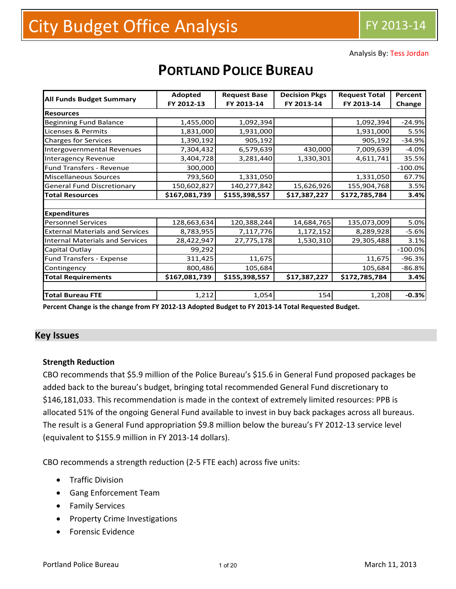Analysis By: Tess Jordan

|                                        | Adopted       | <b>Request Base</b> | <b>Decision Pkgs</b> | <b>Request Total</b> | Percent   |
|----------------------------------------|---------------|---------------------|----------------------|----------------------|-----------|
| <b>All Funds Budget Summary</b>        | FY 2012-13    | FY 2013-14          | FY 2013-14           | FY 2013-14           | Change    |
| <b>Resources</b>                       |               |                     |                      |                      |           |
| Beginning Fund Balance                 | 1,455,000     | 1,092,394           |                      | 1,092,394            | $-24.9%$  |
| Licenses & Permits                     | 1,831,000     | 1,931,000           |                      | 1,931,000            | 5.5%      |
| <b>Charges for Services</b>            | 1,390,192     | 905,192             |                      | 905,192              | $-34.9%$  |
| Intergovernmental Revenues             | 7,304,432     | 6,579,639           | 430,000              | 7,009,639            | $-4.0%$   |
| <b>Interagency Revenue</b>             | 3,404,728     | 3,281,440           | 1,330,301            | 4,611,741            | 35.5%     |
| Fund Transfers - Revenue               | 300,000       |                     |                      |                      | $-100.0%$ |
| <b>Miscellaneous Sources</b>           | 793,560       | 1,331,050           |                      | 1,331,050            | 67.7%     |
| <b>General Fund Discretionary</b>      | 150,602,827   | 140,277,842         | 15,626,926           | 155,904,768          | 3.5%      |
| <b>Total Resources</b>                 | \$167,081,739 | \$155,398,557       | \$17,387,227         | \$172,785,784        | 3.4%      |
|                                        |               |                     |                      |                      |           |
| <b>Expenditures</b>                    |               |                     |                      |                      |           |
| <b>Personnel Services</b>              | 128,663,634   | 120,388,244         | 14,684,765           | 135,073,009          | 5.0%      |
| <b>External Materials and Services</b> | 8,783,955     | 7,117,776           | 1,172,152            | 8,289,928            | $-5.6%$   |
| Internal Materials and Services        | 28,422,947    | 27,775,178          | 1,530,310            | 29,305,488           | 3.1%      |
| Capital Outlay                         | 99,292        |                     |                      |                      | $-100.0%$ |
| Fund Transfers - Expense               | 311,425       | 11,675              |                      | 11,675               | $-96.3%$  |
| Contingency                            | 800,486       | 105,684             |                      | 105,684              | $-86.8%$  |
| <b>Total Requirements</b>              | \$167,081,739 | \$155,398,557       | \$17,387,227         | \$172,785,784        | 3.4%      |
|                                        |               |                     |                      |                      |           |
| <b>Total Bureau FTE</b>                | 1,212         | 1,054               | 154                  | 1,208                | $-0.3%$   |

# **PORTLAND POLICE BUREAU**

Percent Change is the change from FY 2012-13 Adopted Budget to FY 2013-14 Total Requested Budget.

#### **Key Issues**

#### **Strength Reduction**

CBO recommends that \$5.9 million of the Police Bureau's \$15.6 in General Fund proposed packages be added back to the bureau's budget, bringing total recommended General Fund discretionary to \$146,181,033. This recommendation is made in the context of extremely limited resources: PPB is allocated 51% of the ongoing General Fund available to invest in buy back packages across all bureaus. The result is a General Fund appropriation \$9.8 million below the bureau's FY 2012-13 service level (equivalent to \$155.9 million in FY 2013‐14 dollars).

CBO recommends a strength reduction (2‐5 FTE each) across five units:

- **•** Traffic Division
- Gang Enforcement Team
- **•** Family Services
- Property Crime Investigations
- Forensic Evidence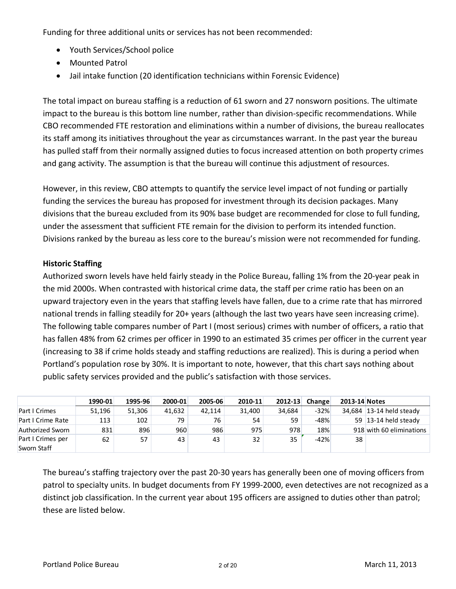Funding for three additional units or services has not been recommended:

- Youth Services/School police
- Mounted Patrol
- Jail intake function (20 identification technicians within Forensic Evidence)

The total impact on bureau staffing is a reduction of 61 sworn and 27 nonsworn positions. The ultimate impact to the bureau is this bottom line number, rather than division-specific recommendations. While CBO recommended FTE restoration and eliminations within a number of divisions, the bureau reallocates its staff among its initiatives throughout the year as circumstances warrant. In the past year the bureau has pulled staff from their normally assigned duties to focus increased attention on both property crimes and gang activity. The assumption is that the bureau will continue this adjustment of resources.

However, in this review, CBO attempts to quantify the service level impact of not funding or partially funding the services the bureau has proposed for investment through its decision packages. Many divisions that the bureau excluded from its 90% base budget are recommended for close to full funding, under the assessment that sufficient FTE remain for the division to perform its intended function. Divisions ranked by the bureau as less core to the bureau's mission were not recommended for funding.

## **Historic Staffing**

Authorized sworn levels have held fairly steady in the Police Bureau, falling 1% from the 20‐year peak in the mid 2000s. When contrasted with historical crime data, the staff per crime ratio has been on an upward trajectory even in the years that staffing levels have fallen, due to a crime rate that has mirrored national trends in falling steadily for 20+ years (although the last two years have seen increasing crime). The following table compares number of Part I (most serious) crimes with number of officers, a ratio that has fallen 48% from 62 crimes per officer in 1990 to an estimated 35 crimes per officer in the current year (increasing to 38 if crime holds steady and staffing reductions are realized). This is during a period when Portland's population rose by 30%. It is important to note, however, that this chart says nothing about public safety services provided and the public's satisfaction with those services.

|                      | 1990-01 | 1995-96 | 2000-01 | 2005-06 | 2010-11 | 2012-13 | Change | 2013-14 Notes |                          |
|----------------------|---------|---------|---------|---------|---------|---------|--------|---------------|--------------------------|
| <b>Part I Crimes</b> | 51.196  | 51,306  | 41.632  | 42,114  | 31.400  | 34,684  | $-32%$ |               | 34,684 13-14 held steady |
| Part I Crime Rate    | 113     | 102     | 79      | 76      | 54      | 59      | $-48%$ |               | 59 $ 13-14$ held steady  |
| Authorized Sworn     | 831     | 896     | 960     | 986     | 975     | 978     | 18%    |               | 918 with 60 eliminations |
| Part I Crimes per    | 62      | 57      | 43      | 43      | 32      | 35      | $-42%$ | 38            |                          |
| Sworn Staff          |         |         |         |         |         |         |        |               |                          |

The bureau's staffing trajectory over the past 20‐30 years has generally been one of moving officers from patrol to specialty units. In budget documents from FY 1999-2000, even detectives are not recognized as a distinct job classification. In the current year about 195 officers are assigned to duties other than patrol; these are listed below.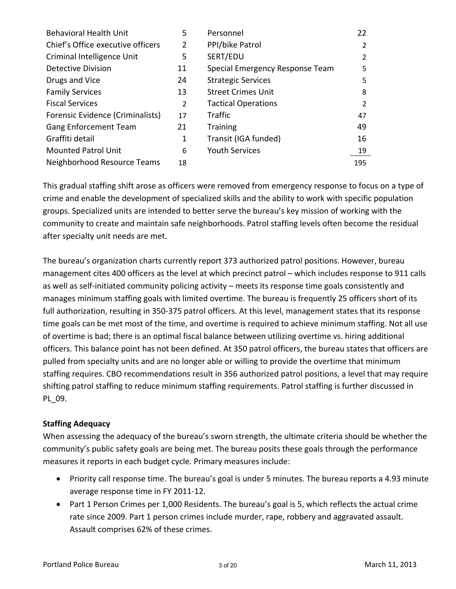| <b>Behavioral Health Unit</b>     | 5              | Personnel                       | 22  |
|-----------------------------------|----------------|---------------------------------|-----|
| Chief's Office executive officers | $\overline{2}$ | PPI/bike Patrol                 | 2   |
| Criminal Intelligence Unit        | 5              | SERT/EDU                        | 2   |
| Detective Division                | 11             | Special Emergency Response Team | 5   |
| Drugs and Vice                    | 24             | <b>Strategic Services</b>       | 5   |
| <b>Family Services</b>            | 13             | <b>Street Crimes Unit</b>       | 8   |
| <b>Fiscal Services</b>            | 2              | <b>Tactical Operations</b>      | 2   |
| Forensic Evidence (Criminalists)  | 17             | <b>Traffic</b>                  | 47  |
| <b>Gang Enforcement Team</b>      | 21             | <b>Training</b>                 | 49  |
| Graffiti detail                   | 1              | Transit (IGA funded)            | 16  |
| <b>Mounted Patrol Unit</b>        | 6              | <b>Youth Services</b>           | 19  |
| Neighborhood Resource Teams       | 18             |                                 | 195 |

This gradual staffing shift arose as officers were removed from emergency response to focus on a type of crime and enable the development of specialized skills and the ability to work with specific population groups. Specialized units are intended to better serve the bureau's key mission of working with the community to create and maintain safe neighborhoods. Patrol staffing levels often become the residual after specialty unit needs are met.

The bureau's organization charts currently report 373 authorized patrol positions. However, bureau management cites 400 officers as the level at which precinct patrol – which includes response to 911 calls as well as self-initiated community policing activity – meets its response time goals consistently and manages minimum staffing goals with limited overtime. The bureau is frequently 25 officers short of its full authorization, resulting in 350-375 patrol officers. At this level, management states that its response time goals can be met most of the time, and overtime is required to achieve minimum staffing. Not all use of overtime is bad; there is an optimal fiscal balance between utilizing overtime vs. hiring additional officers. This balance point has not been defined. At 350 patrol officers, the bureau states that officers are pulled from specialty units and are no longer able or willing to provide the overtime that minimum staffing requires. CBO recommendations result in 356 authorized patrol positions, a level that may require shifting patrol staffing to reduce minimum staffing requirements. Patrol staffing is further discussed in PL\_09.

## **Staffing Adequacy**

When assessing the adequacy of the bureau's sworn strength, the ultimate criteria should be whether the community's public safety goals are being met. The bureau posits these goals through the performance measures it reports in each budget cycle. Primary measures include:

- Priority call response time. The bureau's goal is under 5 minutes. The bureau reports a 4.93 minute average response time in FY 2011‐12.
- Part 1 Person Crimes per 1,000 Residents. The bureau's goal is 5, which reflects the actual crime rate since 2009. Part 1 person crimes include murder, rape, robbery and aggravated assault. Assault comprises 62% of these crimes.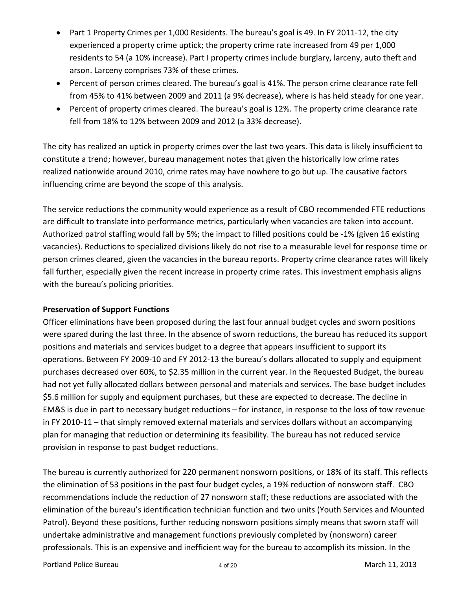- Part 1 Property Crimes per 1,000 Residents. The bureau's goal is 49. In FY 2011-12, the city experienced a property crime uptick; the property crime rate increased from 49 per 1,000 residents to 54 (a 10% increase). Part I property crimes include burglary, larceny, auto theft and arson. Larceny comprises 73% of these crimes.
- Percent of person crimes cleared. The bureau's goal is 41%. The person crime clearance rate fell from 45% to 41% between 2009 and 2011 (a 9% decrease), where is has held steady for one year.
- Percent of property crimes cleared. The bureau's goal is 12%. The property crime clearance rate fell from 18% to 12% between 2009 and 2012 (a 33% decrease).

The city has realized an uptick in property crimes over the last two years. This data is likely insufficient to constitute a trend; however, bureau management notes that given the historically low crime rates realized nationwide around 2010, crime rates may have nowhere to go but up. The causative factors influencing crime are beyond the scope of this analysis.

The service reductions the community would experience as a result of CBO recommended FTE reductions are difficult to translate into performance metrics, particularly when vacancies are taken into account. Authorized patrol staffing would fall by 5%; the impact to filled positions could be ‐1% (given 16 existing vacancies). Reductions to specialized divisions likely do not rise to a measurable level for response time or person crimes cleared, given the vacancies in the bureau reports. Property crime clearance rates will likely fall further, especially given the recent increase in property crime rates. This investment emphasis aligns with the bureau's policing priorities.

#### **Preservation of Support Functions**

Officer eliminations have been proposed during the last four annual budget cycles and sworn positions were spared during the last three. In the absence of sworn reductions, the bureau has reduced its support positions and materials and services budget to a degree that appears insufficient to support its operations. Between FY 2009‐10 and FY 2012‐13 the bureau's dollars allocated to supply and equipment purchases decreased over 60%, to \$2.35 million in the current year. In the Requested Budget, the bureau had not yet fully allocated dollars between personal and materials and services. The base budget includes \$5.6 million for supply and equipment purchases, but these are expected to decrease. The decline in EM&S is due in part to necessary budget reductions – for instance, in response to the loss of tow revenue in FY 2010‐11 – that simply removed external materials and services dollars without an accompanying plan for managing that reduction or determining its feasibility. The bureau has not reduced service provision in response to past budget reductions.

The bureau is currently authorized for 220 permanent nonsworn positions, or 18% of its staff. This reflects the elimination of 53 positions in the past four budget cycles, a 19% reduction of nonsworn staff. CBO recommendations include the reduction of 27 nonsworn staff; these reductions are associated with the elimination of the bureau's identification technician function and two units (Youth Services and Mounted Patrol). Beyond these positions, further reducing nonsworn positions simply means that sworn staff will undertake administrative and management functions previously completed by (nonsworn) career professionals. This is an expensive and inefficient way for the bureau to accomplish its mission. In the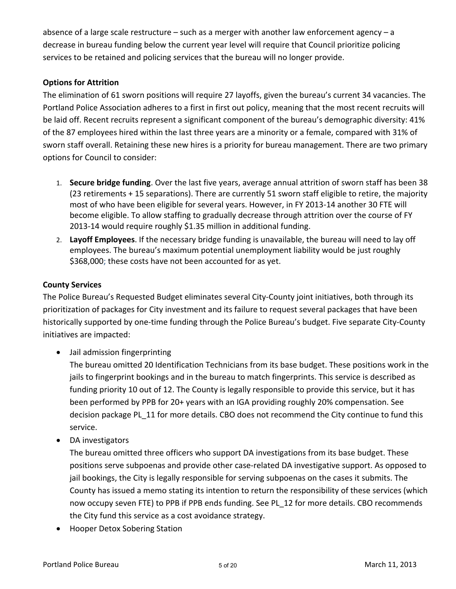absence of a large scale restructure  $-$  such as a merger with another law enforcement agency  $-$  a decrease in bureau funding below the current year level will require that Council prioritize policing services to be retained and policing services that the bureau will no longer provide.

# **Options for Attrition**

The elimination of 61 sworn positions will require 27 layoffs, given the bureau's current 34 vacancies. The Portland Police Association adheres to a first in first out policy, meaning that the most recent recruits will be laid off. Recent recruits represent a significant component of the bureau's demographic diversity: 41% of the 87 employees hired within the last three years are a minority or a female, compared with 31% of sworn staff overall. Retaining these new hires is a priority for bureau management. There are two primary options for Council to consider:

- 1. **Secure bridge funding**. Over the last five years, average annual attrition of sworn staff has been 38 (23 retirements + 15 separations). There are currently 51 sworn staff eligible to retire, the majority most of who have been eligible for several years. However, in FY 2013‐14 another 30 FTE will become eligible. To allow staffing to gradually decrease through attrition over the course of FY 2013‐14 would require roughly \$1.35 million in additional funding.
- 2. **Layoff Employees**. If the necessary bridge funding is unavailable, the bureau will need to lay off employees. The bureau's maximum potential unemployment liability would be just roughly \$368,000; these costs have not been accounted for as yet.

#### **County Services**

The Police Bureau's Requested Budget eliminates several City‐County joint initiatives, both through its prioritization of packages for City investment and its failure to request several packages that have been historically supported by one‐time funding through the Police Bureau's budget. Five separate City‐County initiatives are impacted:

Jail admission fingerprinting

The bureau omitted 20 Identification Technicians from its base budget. These positions work in the jails to fingerprint bookings and in the bureau to match fingerprints. This service is described as funding priority 10 out of 12. The County is legally responsible to provide this service, but it has been performed by PPB for 20+ years with an IGA providing roughly 20% compensation. See decision package PL 11 for more details. CBO does not recommend the City continue to fund this service.

• DA investigators

The bureau omitted three officers who support DA investigations from its base budget. These positions serve subpoenas and provide other case‐related DA investigative support. As opposed to jail bookings, the City is legally responsible for serving subpoenas on the cases it submits. The County has issued a memo stating its intention to return the responsibility of these services (which now occupy seven FTE) to PPB if PPB ends funding. See PL\_12 for more details. CBO recommends the City fund this service as a cost avoidance strategy.

• Hooper Detox Sobering Station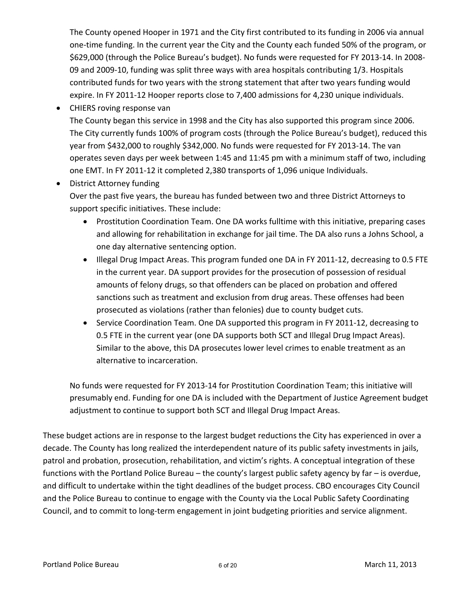The County opened Hooper in 1971 and the City first contributed to its funding in 2006 via annual one‐time funding. In the current year the City and the County each funded 50% of the program, or \$629,000 (through the Police Bureau's budget). No funds were requested for FY 2013‐14. In 2008‐ 09 and 2009‐10, funding was split three ways with area hospitals contributing 1/3. Hospitals contributed funds for two years with the strong statement that after two years funding would expire. In FY 2011‐12 Hooper reports close to 7,400 admissions for 4,230 unique individuals.

• CHIERS roving response van

The County began this service in 1998 and the City has also supported this program since 2006. The City currently funds 100% of program costs (through the Police Bureau's budget), reduced this year from \$432,000 to roughly \$342,000. No funds were requested for FY 2013‐14. The van operates seven days per week between 1:45 and 11:45 pm with a minimum staff of two, including one EMT. In FY 2011‐12 it completed 2,380 transports of 1,096 unique Individuals.

• District Attorney funding

Over the past five years, the bureau has funded between two and three District Attorneys to support specific initiatives. These include:

- Prostitution Coordination Team. One DA works fulltime with this initiative, preparing cases and allowing for rehabilitation in exchange for jail time. The DA also runs a Johns School, a one day alternative sentencing option.
- Illegal Drug Impact Areas. This program funded one DA in FY 2011‐12, decreasing to 0.5 FTE in the current year. DA support provides for the prosecution of possession of residual amounts of felony drugs, so that offenders can be placed on probation and offered sanctions such as treatment and exclusion from drug areas. These offenses had been prosecuted as violations (rather than felonies) due to county budget cuts.
- Service Coordination Team. One DA supported this program in FY 2011‐12, decreasing to 0.5 FTE in the current year (one DA supports both SCT and Illegal Drug Impact Areas). Similar to the above, this DA prosecutes lower level crimes to enable treatment as an alternative to incarceration.

No funds were requested for FY 2013‐14 for Prostitution Coordination Team; this initiative will presumably end. Funding for one DA is included with the Department of Justice Agreement budget adjustment to continue to support both SCT and Illegal Drug Impact Areas.

These budget actions are in response to the largest budget reductions the City has experienced in over a decade. The County has long realized the interdependent nature of its public safety investments in jails, patrol and probation, prosecution, rehabilitation, and victim's rights. A conceptual integration of these functions with the Portland Police Bureau – the county's largest public safety agency by far – is overdue, and difficult to undertake within the tight deadlines of the budget process. CBO encourages City Council and the Police Bureau to continue to engage with the County via the Local Public Safety Coordinating Council, and to commit to long‐term engagement in joint budgeting priorities and service alignment.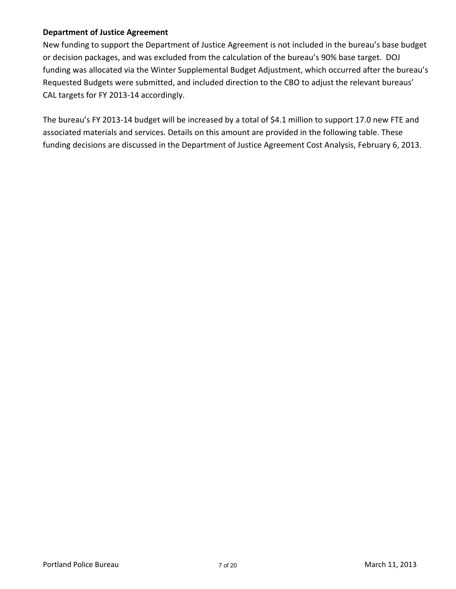#### **Department of Justice Agreement**

New funding to support the Department of Justice Agreement is not included in the bureau's base budget or decision packages, and was excluded from the calculation of the bureau's 90% base target. DOJ funding was allocated via the Winter Supplemental Budget Adjustment, which occurred after the bureau's Requested Budgets were submitted, and included direction to the CBO to adjust the relevant bureaus' CAL targets for FY 2013‐14 accordingly.

The bureau's FY 2013-14 budget will be increased by a total of \$4.1 million to support 17.0 new FTE and associated materials and services. Details on this amount are provided in the following table. These funding decisions are discussed in the Department of Justice Agreement Cost Analysis, February 6, 2013.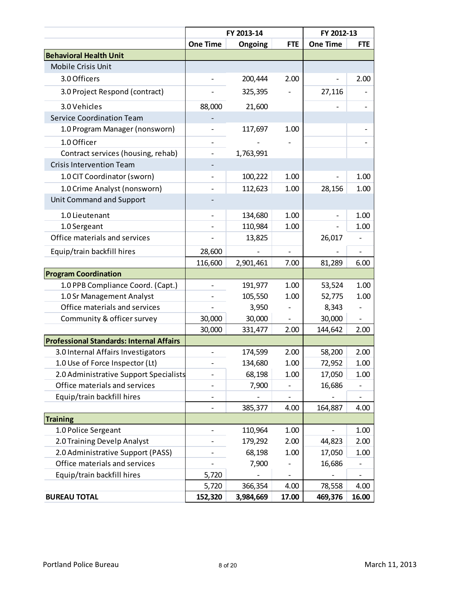|                                                 |                 | FY 2013-14 |            | FY 2012-13               |            |  |  |
|-------------------------------------------------|-----------------|------------|------------|--------------------------|------------|--|--|
|                                                 | <b>One Time</b> | Ongoing    | <b>FTE</b> | <b>One Time</b>          | <b>FTE</b> |  |  |
| <b>Behavioral Health Unit</b>                   |                 |            |            |                          |            |  |  |
| Mobile Crisis Unit                              |                 |            |            |                          |            |  |  |
| 3.0 Officers                                    |                 | 200,444    | 2.00       | $\overline{\phantom{0}}$ | 2.00       |  |  |
| 3.0 Project Respond (contract)                  |                 | 325,395    |            | 27,116                   |            |  |  |
| 3.0 Vehicles                                    | 88,000          | 21,600     |            |                          |            |  |  |
| <b>Service Coordination Team</b>                |                 |            |            |                          |            |  |  |
| 1.0 Program Manager (nonsworn)                  |                 | 117,697    | 1.00       |                          |            |  |  |
| 1.0 Officer                                     |                 |            |            |                          |            |  |  |
| Contract services (housing, rehab)              |                 | 1,763,991  |            |                          |            |  |  |
| <b>Crisis Intervention Team</b>                 |                 |            |            |                          |            |  |  |
| 1.0 CIT Coordinator (sworn)                     |                 | 100,222    | 1.00       |                          | 1.00       |  |  |
| 1.0 Crime Analyst (nonsworn)                    |                 | 112,623    | 1.00       | 28,156                   | 1.00       |  |  |
| Unit Command and Support                        |                 |            |            |                          |            |  |  |
| 1.0 Lieutenant                                  |                 | 134,680    | 1.00       |                          | 1.00       |  |  |
| 1.0 Sergeant                                    |                 | 110,984    | 1.00       |                          | 1.00       |  |  |
| Office materials and services                   |                 | 13,825     |            | 26,017                   |            |  |  |
| Equip/train backfill hires                      | 28,600          |            |            |                          |            |  |  |
|                                                 | 116,600         | 2,901,461  | 7.00       | 81,289                   | 6.00       |  |  |
| <b>Program Coordination</b>                     |                 |            |            |                          |            |  |  |
| 1.0 PPB Compliance Coord. (Capt.)               |                 | 191,977    | 1.00       | 53,524                   | 1.00       |  |  |
| 1.0 Sr Management Analyst                       |                 | 105,550    | 1.00       | 52,775                   | 1.00       |  |  |
| Office materials and services                   |                 | 3,950      |            | 8,343                    |            |  |  |
| Community & officer survey                      | 30,000          | 30,000     |            | 30,000                   |            |  |  |
|                                                 | 30,000          | 331,477    | 2.00       | 144,642                  | 2.00       |  |  |
| <b>Professional Standards: Internal Affairs</b> |                 |            |            |                          |            |  |  |
| 3.0 Internal Affairs Investigators              |                 | 174,599    | 2.00       | 58,200                   | 2.00       |  |  |
| 1.0 Use of Force Inspector (Lt)                 |                 | 134,680    | 1.00       | 72,952                   | 1.00       |  |  |
| 2.0 Administrative Support Specialists          |                 | 68,198     | 1.00       | 17,050                   | 1.00       |  |  |
| Office materials and services                   |                 | 7,900      |            | 16,686                   |            |  |  |
| Equip/train backfill hires                      |                 |            |            |                          |            |  |  |
|                                                 |                 | 385,377    | 4.00       | 164,887                  | 4.00       |  |  |
| <b>Training</b>                                 |                 |            |            |                          |            |  |  |
| 1.0 Police Sergeant                             |                 | 110,964    | 1.00       |                          | 1.00       |  |  |
| 2.0 Training Develp Analyst                     |                 | 179,292    | 2.00       | 44,823                   | 2.00       |  |  |
| 2.0 Administrative Support (PASS)               |                 | 68,198     | 1.00       | 17,050                   | 1.00       |  |  |
| Office materials and services                   |                 | 7,900      |            | 16,686                   |            |  |  |
| Equip/train backfill hires                      | 5,720           |            |            |                          |            |  |  |
|                                                 | 5,720           | 366,354    | 4.00       | 78,558                   | 4.00       |  |  |
| <b>BUREAU TOTAL</b>                             | 152,320         | 3,984,669  | 17.00      | 469,376                  | 16.00      |  |  |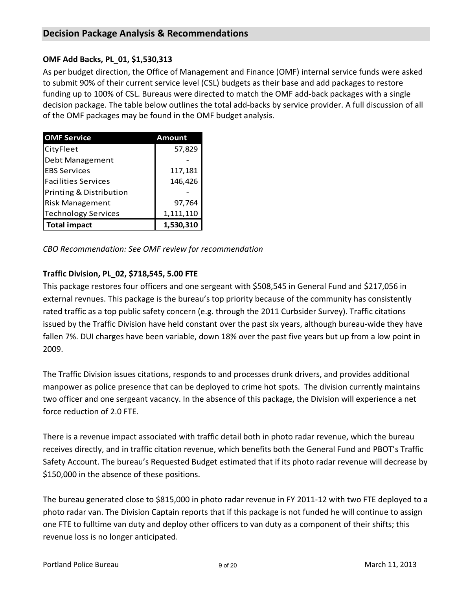# **OMF Add Backs, PL\_01, \$1,530,313**

As per budget direction, the Office of Management and Finance (OMF) internal service funds were asked to submit 90% of their current service level (CSL) budgets as their base and add packages to restore funding up to 100% of CSL. Bureaus were directed to match the OMF add‐back packages with a single decision package. The table below outlines the total add‐backs by service provider. A full discussion of all of the OMF packages may be found in the OMF budget analysis.

| <b>OMF Service</b>         | Amount    |
|----------------------------|-----------|
| CityFleet                  | 57,829    |
| Debt Management            |           |
| <b>EBS Services</b>        | 117,181   |
| <b>Facilities Services</b> | 146,426   |
| Printing & Distribution    |           |
| <b>Risk Management</b>     | 97,764    |
| <b>Technology Services</b> | 1,111,110 |
| <b>Total impact</b>        | 1,530,310 |

*CBO Recommendation: See OMF review for recommendation*

# **Traffic Division, PL\_02, \$718,545, 5.00 FTE**

This package restores four officers and one sergeant with \$508,545 in General Fund and \$217,056 in external revnues. This package is the bureau's top priority because of the community has consistently rated traffic as a top public safety concern (e.g. through the 2011 Curbsider Survey). Traffic citations issued by the Traffic Division have held constant over the past six years, although bureau‐wide they have fallen 7%. DUI charges have been variable, down 18% over the past five years but up from a low point in 2009.

The Traffic Division issues citations, responds to and processes drunk drivers, and provides additional manpower as police presence that can be deployed to crime hot spots. The division currently maintains two officer and one sergeant vacancy. In the absence of this package, the Division will experience a net force reduction of 2.0 FTE.

There is a revenue impact associated with traffic detail both in photo radar revenue, which the bureau receives directly, and in traffic citation revenue, which benefits both the General Fund and PBOT's Traffic Safety Account. The bureau's Requested Budget estimated that if its photo radar revenue will decrease by \$150,000 in the absence of these positions.

The bureau generated close to \$815,000 in photo radar revenue in FY 2011‐12 with two FTE deployed to a photo radar van. The Division Captain reports that if this package is not funded he will continue to assign one FTE to fulltime van duty and deploy other officers to van duty as a component of their shifts; this revenue loss is no longer anticipated.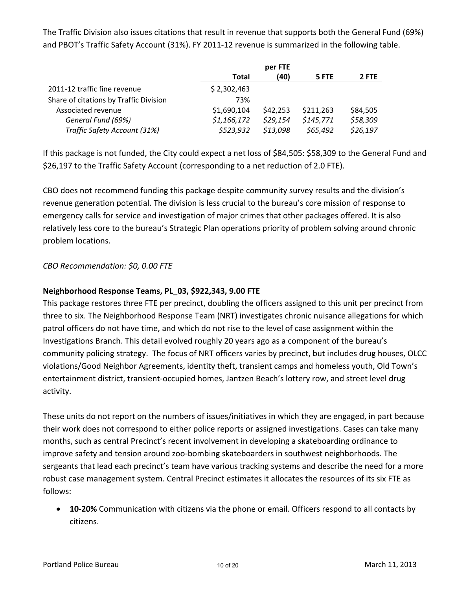The Traffic Division also issues citations that result in revenue that supports both the General Fund (69%) and PBOT's Traffic Safety Account (31%). FY 2011‐12 revenue is summarized in the following table.

|                                        |             | per FTE  |           |          |
|----------------------------------------|-------------|----------|-----------|----------|
|                                        | Total       | (40)     | 5 FTE     | 2 FTE    |
| 2011-12 traffic fine revenue           | \$2,302,463 |          |           |          |
| Share of citations by Traffic Division | 73%         |          |           |          |
| Associated revenue                     | \$1,690,104 | \$42,253 | \$211,263 | \$84,505 |
| General Fund (69%)                     | \$1,166,172 | \$29,154 | \$145,771 | \$58,309 |
| Traffic Safety Account (31%)           | \$523,932   | \$13,098 | \$65,492  | \$26,197 |

If this package is not funded, the City could expect a net loss of \$84,505: \$58,309 to the General Fund and \$26,197 to the Traffic Safety Account (corresponding to a net reduction of 2.0 FTE).

CBO does not recommend funding this package despite community survey results and the division's revenue generation potential. The division is less crucial to the bureau's core mission of response to emergency calls for service and investigation of major crimes that other packages offered. It is also relatively less core to the bureau's Strategic Plan operations priority of problem solving around chronic problem locations.

# *CBO Recommendation: \$0, 0.00 FTE*

#### **Neighborhood Response Teams, PL\_03, \$922,343, 9.00 FTE**

This package restores three FTE per precinct, doubling the officers assigned to this unit per precinct from three to six. The Neighborhood Response Team (NRT) investigates chronic nuisance allegations for which patrol officers do not have time, and which do not rise to the level of case assignment within the Investigations Branch. This detail evolved roughly 20 years ago as a component of the bureau's community policing strategy. The focus of NRT officers varies by precinct, but includes drug houses, OLCC violations/Good Neighbor Agreements, identity theft, transient camps and homeless youth, Old Town's entertainment district, transient‐occupied homes, Jantzen Beach's lottery row, and street level drug activity.

These units do not report on the numbers of issues/initiatives in which they are engaged, in part because their work does not correspond to either police reports or assigned investigations. Cases can take many months, such as central Precinct's recent involvement in developing a skateboarding ordinance to improve safety and tension around zoo‐bombing skateboarders in southwest neighborhoods. The sergeants that lead each precinct's team have various tracking systems and describe the need for a more robust case management system. Central Precinct estimates it allocates the resources of its six FTE as follows:

 **10‐20%** Communication with citizens via the phone or email. Officers respond to all contacts by citizens.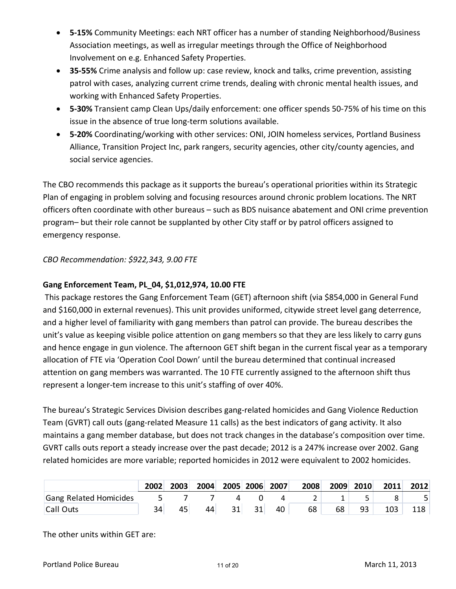- **5‐15%** Community Meetings: each NRT officer has a number of standing Neighborhood/Business Association meetings, as well as irregular meetings through the Office of Neighborhood Involvement on e.g. Enhanced Safety Properties.
- **35‐55%** Crime analysis and follow up: case review, knock and talks, crime prevention, assisting patrol with cases, analyzing current crime trends, dealing with chronic mental health issues, and working with Enhanced Safety Properties.
- **5‐30%** Transient camp Clean Ups/daily enforcement: one officer spends 50‐75% of his time on this issue in the absence of true long‐term solutions available.
- **5‐20%** Coordinating/working with other services: ONI, JOIN homeless services, Portland Business Alliance, Transition Project Inc, park rangers, security agencies, other city/county agencies, and social service agencies.

The CBO recommends this package as it supports the bureau's operational priorities within its Strategic Plan of engaging in problem solving and focusing resources around chronic problem locations. The NRT officers often coordinate with other bureaus – such as BDS nuisance abatement and ONI crime prevention program– but their role cannot be supplanted by other City staff or by patrol officers assigned to emergency response.

## *CBO Recommendation: \$922,343, 9.00 FTE*

## **Gang Enforcement Team, PL\_04, \$1,012,974, 10.00 FTE**

This package restores the Gang Enforcement Team (GET) afternoon shift (via \$854,000 in General Fund and \$160,000 in external revenues). This unit provides uniformed, citywide street level gang deterrence, and a higher level of familiarity with gang members than patrol can provide. The bureau describes the unit's value as keeping visible police attention on gang members so that they are less likely to carry guns and hence engage in gun violence. The afternoon GET shift began in the current fiscal year as a temporary allocation of FTE via 'Operation Cool Down' until the bureau determined that continual increased attention on gang members was warranted. The 10 FTE currently assigned to the afternoon shift thus represent a longer-tem increase to this unit's staffing of over 40%.

The bureau's Strategic Services Division describes gang‐related homicides and Gang Violence Reduction Team (GVRT) call outs (gang‐related Measure 11 calls) as the best indicators of gang activity. It also maintains a gang member database, but does not track changes in the database's composition over time. GVRT calls outs report a steady increase over the past decade; 2012 is a 247% increase over 2002. Gang related homicides are more variable; reported homicides in 2012 were equivalent to 2002 homicides.

|                        | 2002 | 2003 | 2004 |    | 2005 2006 | 2007 <sup>1</sup> | 2008 | 2009 | 2010 | 2011 | 2012 |
|------------------------|------|------|------|----|-----------|-------------------|------|------|------|------|------|
| Gang Related Homicides |      |      |      |    |           |                   |      |      |      |      |      |
| Call Outs              |      | 45   | 44   | 31 | 31        | 40                | 68   | 68   | 93   | 103  |      |

The other units within GET are: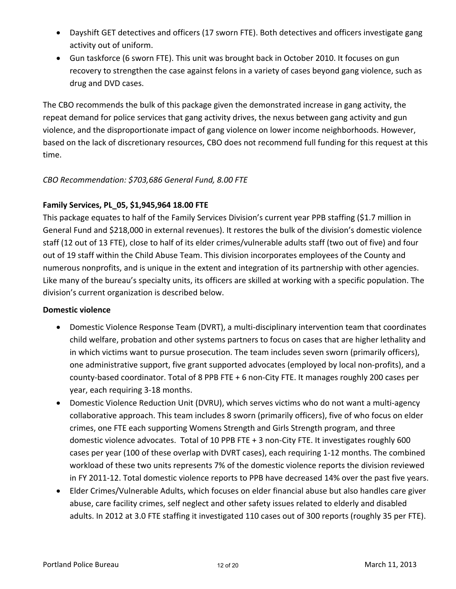- Dayshift GET detectives and officers (17 sworn FTE). Both detectives and officers investigate gang activity out of uniform.
- Gun taskforce (6 sworn FTE). This unit was brought back in October 2010. It focuses on gun recovery to strengthen the case against felons in a variety of cases beyond gang violence, such as drug and DVD cases.

The CBO recommends the bulk of this package given the demonstrated increase in gang activity, the repeat demand for police services that gang activity drives, the nexus between gang activity and gun violence, and the disproportionate impact of gang violence on lower income neighborhoods. However, based on the lack of discretionary resources, CBO does not recommend full funding for this request at this time.

# *CBO Recommendation: \$703,686 General Fund, 8.00 FTE*

## **Family Services, PL\_05, \$1,945,964 18.00 FTE**

This package equates to half of the Family Services Division's current year PPB staffing (\$1.7 million in General Fund and \$218,000 in external revenues). It restores the bulk of the division's domestic violence staff (12 out of 13 FTE), close to half of its elder crimes/vulnerable adults staff (two out of five) and four out of 19 staff within the Child Abuse Team. This division incorporates employees of the County and numerous nonprofits, and is unique in the extent and integration of its partnership with other agencies. Like many of the bureau's specialty units, its officers are skilled at working with a specific population. The division's current organization is described below.

## **Domestic violence**

- Domestic Violence Response Team (DVRT), a multi‐disciplinary intervention team that coordinates child welfare, probation and other systems partners to focus on cases that are higher lethality and in which victims want to pursue prosecution. The team includes seven sworn (primarily officers), one administrative support, five grant supported advocates (employed by local non‐profits), and a county‐based coordinator. Total of 8 PPB FTE + 6 non‐City FTE. It manages roughly 200 cases per year, each requiring 3‐18 months.
- Domestic Violence Reduction Unit (DVRU), which serves victims who do not want a multi‐agency collaborative approach. This team includes 8 sworn (primarily officers), five of who focus on elder crimes, one FTE each supporting Womens Strength and Girls Strength program, and three domestic violence advocates. Total of 10 PPB FTE + 3 non‐City FTE. It investigates roughly 600 cases per year (100 of these overlap with DVRT cases), each requiring 1‐12 months. The combined workload of these two units represents 7% of the domestic violence reports the division reviewed in FY 2011-12. Total domestic violence reports to PPB have decreased 14% over the past five years.
- Elder Crimes/Vulnerable Adults, which focuses on elder financial abuse but also handles care giver abuse, care facility crimes, self neglect and other safety issues related to elderly and disabled adults. In 2012 at 3.0 FTE staffing it investigated 110 cases out of 300 reports (roughly 35 per FTE).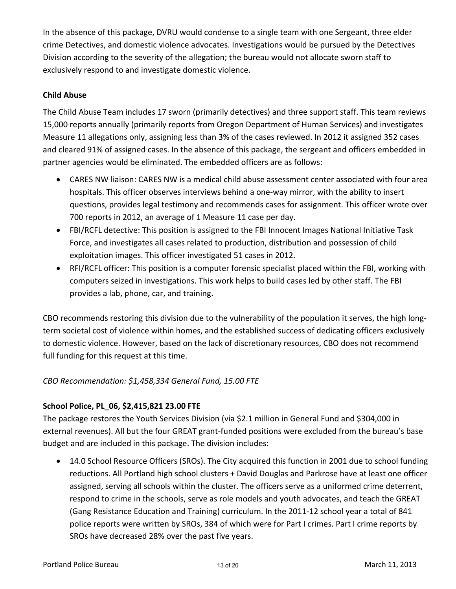In the absence of this package, DVRU would condense to a single team with one Sergeant, three elder crime Detectives, and domestic violence advocates. Investigations would be pursued by the Detectives Division according to the severity of the allegation; the bureau would not allocate sworn staff to exclusively respond to and investigate domestic violence.

## **Child Abuse**

The Child Abuse Team includes 17 sworn (primarily detectives) and three support staff. This team reviews 15,000 reports annually (primarily reports from Oregon Department of Human Services) and investigates Measure 11 allegations only, assigning less than 3% of the cases reviewed. In 2012 it assigned 352 cases and cleared 91% of assigned cases. In the absence of this package, the sergeant and officers embedded in partner agencies would be eliminated. The embedded officers are as follows:

- CARES NW liaison: CARES NW is a medical child abuse assessment center associated with four area hospitals. This officer observes interviews behind a one‐way mirror, with the ability to insert questions, provides legal testimony and recommends cases for assignment. This officer wrote over 700 reports in 2012, an average of 1 Measure 11 case per day.
- FBI/RCFL detective: This position is assigned to the FBI Innocent Images National Initiative Task Force, and investigates all cases related to production, distribution and possession of child exploitation images. This officer investigated 51 cases in 2012.
- RFI/RCFL officer: This position is a computer forensic specialist placed within the FBI, working with computers seized in investigations. This work helps to build cases led by other staff. The FBI provides a lab, phone, car, and training.

CBO recommends restoring this division due to the vulnerability of the population it serves, the high long‐ term societal cost of violence within homes, and the established success of dedicating officers exclusively to domestic violence. However, based on the lack of discretionary resources, CBO does not recommend full funding for this request at this time.

## *CBO Recommendation: \$1,458,334 General Fund, 15.00 FTE*

## **School Police, PL\_06, \$2,415,821 23.00 FTE**

The package restores the Youth Services Division (via \$2.1 million in General Fund and \$304,000 in external revenues). All but the four GREAT grant‐funded positions were excluded from the bureau's base budget and are included in this package. The division includes:

 14.0 School Resource Officers (SROs). The City acquired this function in 2001 due to school funding reductions. All Portland high school clusters + David Douglas and Parkrose have at least one officer assigned, serving all schools within the cluster. The officers serve as a uniformed crime deterrent, respond to crime in the schools, serve as role models and youth advocates, and teach the GREAT (Gang Resistance Education and Training) curriculum. In the 2011‐12 school year a total of 841 police reports were written by SROs, 384 of which were for Part I crimes. Part I crime reports by SROs have decreased 28% over the past five years.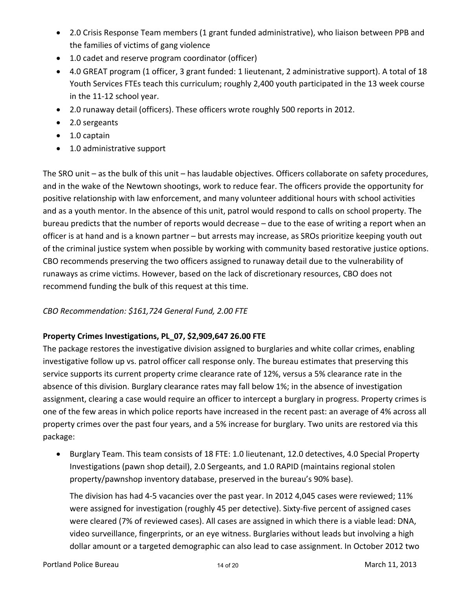- 2.0 Crisis Response Team members (1 grant funded administrative), who liaison between PPB and the families of victims of gang violence
- 1.0 cadet and reserve program coordinator (officer)
- 4.0 GREAT program (1 officer, 3 grant funded: 1 lieutenant, 2 administrative support). A total of 18 Youth Services FTEs teach this curriculum; roughly 2,400 youth participated in the 13 week course in the 11‐12 school year.
- 2.0 runaway detail (officers). These officers wrote roughly 500 reports in 2012.
- 2.0 sergeants
- 1.0 captain
- 1.0 administrative support

The SRO unit – as the bulk of this unit – has laudable objectives. Officers collaborate on safety procedures, and in the wake of the Newtown shootings, work to reduce fear. The officers provide the opportunity for positive relationship with law enforcement, and many volunteer additional hours with school activities and as a youth mentor. In the absence of this unit, patrol would respond to calls on school property. The bureau predicts that the number of reports would decrease – due to the ease of writing a report when an officer is at hand and is a known partner – but arrests may increase, as SROs prioritize keeping youth out of the criminal justice system when possible by working with community based restorative justice options. CBO recommends preserving the two officers assigned to runaway detail due to the vulnerability of runaways as crime victims. However, based on the lack of discretionary resources, CBO does not recommend funding the bulk of this request at this time.

# *CBO Recommendation: \$161,724 General Fund, 2.00 FTE*

# **Property Crimes Investigations, PL\_07, \$2,909,647 26.00 FTE**

The package restores the investigative division assigned to burglaries and white collar crimes, enabling investigative follow up vs. patrol officer call response only. The bureau estimates that preserving this service supports its current property crime clearance rate of 12%, versus a 5% clearance rate in the absence of this division. Burglary clearance rates may fall below 1%; in the absence of investigation assignment, clearing a case would require an officer to intercept a burglary in progress. Property crimes is one of the few areas in which police reports have increased in the recent past: an average of 4% across all property crimes over the past four years, and a 5% increase for burglary. Two units are restored via this package:

 Burglary Team. This team consists of 18 FTE: 1.0 lieutenant, 12.0 detectives, 4.0 Special Property Investigations (pawn shop detail), 2.0 Sergeants, and 1.0 RAPID (maintains regional stolen property/pawnshop inventory database, preserved in the bureau's 90% base).

The division has had 4‐5 vacancies over the past year. In 2012 4,045 cases were reviewed; 11% were assigned for investigation (roughly 45 per detective). Sixty-five percent of assigned cases were cleared (7% of reviewed cases). All cases are assigned in which there is a viable lead: DNA, video surveillance, fingerprints, or an eye witness. Burglaries without leads but involving a high dollar amount or a targeted demographic can also lead to case assignment. In October 2012 two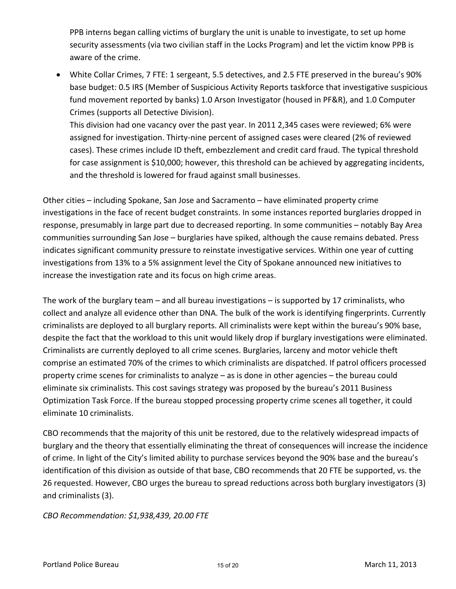PPB interns began calling victims of burglary the unit is unable to investigate, to set up home security assessments (via two civilian staff in the Locks Program) and let the victim know PPB is aware of the crime.

 White Collar Crimes, 7 FTE: 1 sergeant, 5.5 detectives, and 2.5 FTE preserved in the bureau's 90% base budget: 0.5 IRS (Member of Suspicious Activity Reports taskforce that investigative suspicious fund movement reported by banks) 1.0 Arson Investigator (housed in PF&R), and 1.0 Computer Crimes (supports all Detective Division).

This division had one vacancy over the past year. In 2011 2,345 cases were reviewed; 6% were assigned for investigation. Thirty‐nine percent of assigned cases were cleared (2% of reviewed cases). These crimes include ID theft, embezzlement and credit card fraud. The typical threshold for case assignment is \$10,000; however, this threshold can be achieved by aggregating incidents, and the threshold is lowered for fraud against small businesses.

Other cities – including Spokane, San Jose and Sacramento – have eliminated property crime investigations in the face of recent budget constraints. In some instances reported burglaries dropped in response, presumably in large part due to decreased reporting. In some communities – notably Bay Area communities surrounding San Jose – burglaries have spiked, although the cause remains debated. Press indicates significant community pressure to reinstate investigative services. Within one year of cutting investigations from 13% to a 5% assignment level the City of Spokane announced new initiatives to increase the investigation rate and its focus on high crime areas.

The work of the burglary team – and all bureau investigations – is supported by 17 criminalists, who collect and analyze all evidence other than DNA. The bulk of the work is identifying fingerprints. Currently criminalists are deployed to all burglary reports. All criminalists were kept within the bureau's 90% base, despite the fact that the workload to this unit would likely drop if burglary investigations were eliminated. Criminalists are currently deployed to all crime scenes. Burglaries, larceny and motor vehicle theft comprise an estimated 70% of the crimes to which criminalists are dispatched. If patrol officers processed property crime scenes for criminalists to analyze – as is done in other agencies – the bureau could eliminate six criminalists. This cost savings strategy was proposed by the bureau's 2011 Business Optimization Task Force. If the bureau stopped processing property crime scenes all together, it could eliminate 10 criminalists.

CBO recommends that the majority of this unit be restored, due to the relatively widespread impacts of burglary and the theory that essentially eliminating the threat of consequences will increase the incidence of crime. In light of the City's limited ability to purchase services beyond the 90% base and the bureau's identification of this division as outside of that base, CBO recommends that 20 FTE be supported, vs. the 26 requested. However, CBO urges the bureau to spread reductions across both burglary investigators (3) and criminalists (3).

*CBO Recommendation: \$1,938,439, 20.00 FTE*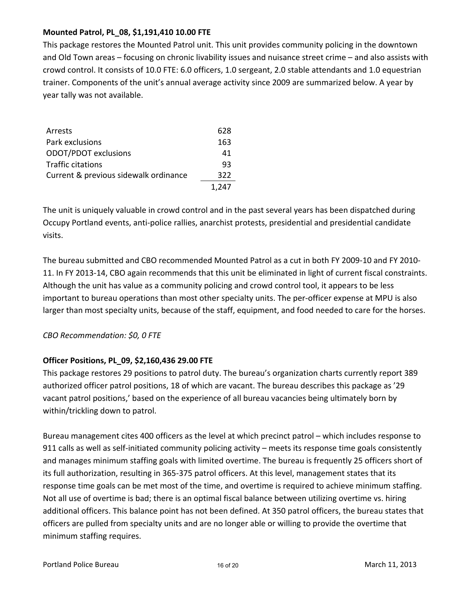## **Mounted Patrol, PL\_08, \$1,191,410 10.00 FTE**

This package restores the Mounted Patrol unit. This unit provides community policing in the downtown and Old Town areas – focusing on chronic livability issues and nuisance street crime – and also assists with crowd control. It consists of 10.0 FTE: 6.0 officers, 1.0 sergeant, 2.0 stable attendants and 1.0 equestrian trainer. Components of the unit's annual average activity since 2009 are summarized below. A year by year tally was not available.

| Arrests                               | 628   |
|---------------------------------------|-------|
| Park exclusions                       | 163   |
| ODOT/PDOT exclusions                  | 41    |
| <b>Traffic citations</b>              | 93    |
| Current & previous sidewalk ordinance | 322   |
|                                       | 1.247 |

The unit is uniquely valuable in crowd control and in the past several years has been dispatched during Occupy Portland events, anti‐police rallies, anarchist protests, presidential and presidential candidate visits.

The bureau submitted and CBO recommended Mounted Patrol as a cut in both FY 2009‐10 and FY 2010‐ 11. In FY 2013‐14, CBO again recommends that this unit be eliminated in light of current fiscal constraints. Although the unit has value as a community policing and crowd control tool, it appears to be less important to bureau operations than most other specialty units. The per-officer expense at MPU is also larger than most specialty units, because of the staff, equipment, and food needed to care for the horses.

## *CBO Recommendation: \$0, 0 FTE*

#### **Officer Positions, PL\_09, \$2,160,436 29.00 FTE**

This package restores 29 positions to patrol duty. The bureau's organization charts currently report 389 authorized officer patrol positions, 18 of which are vacant. The bureau describes this package as '29 vacant patrol positions,' based on the experience of all bureau vacancies being ultimately born by within/trickling down to patrol.

Bureau management cites 400 officers as the level at which precinct patrol – which includes response to 911 calls as well as self-initiated community policing activity – meets its response time goals consistently and manages minimum staffing goals with limited overtime. The bureau is frequently 25 officers short of its full authorization, resulting in 365‐375 patrol officers. At this level, management states that its response time goals can be met most of the time, and overtime is required to achieve minimum staffing. Not all use of overtime is bad; there is an optimal fiscal balance between utilizing overtime vs. hiring additional officers. This balance point has not been defined. At 350 patrol officers, the bureau states that officers are pulled from specialty units and are no longer able or willing to provide the overtime that minimum staffing requires.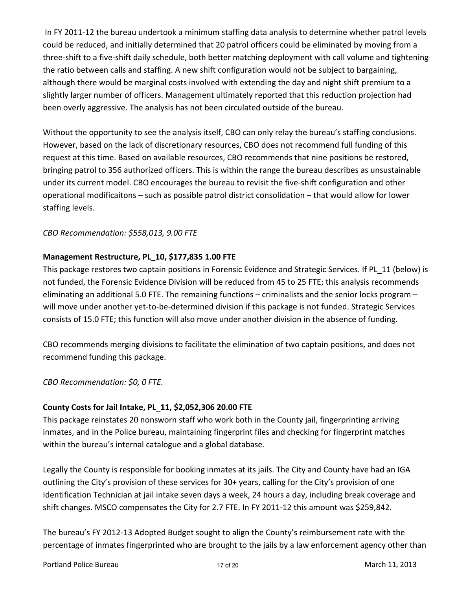In FY 2011-12 the bureau undertook a minimum staffing data analysis to determine whether patrol levels could be reduced, and initially determined that 20 patrol officers could be eliminated by moving from a three‐shift to a five‐shift daily schedule, both better matching deployment with call volume and tightening the ratio between calls and staffing. A new shift configuration would not be subject to bargaining, although there would be marginal costs involved with extending the day and night shift premium to a slightly larger number of officers. Management ultimately reported that this reduction projection had been overly aggressive. The analysis has not been circulated outside of the bureau.

Without the opportunity to see the analysis itself, CBO can only relay the bureau's staffing conclusions. However, based on the lack of discretionary resources, CBO does not recommend full funding of this request at this time. Based on available resources, CBO recommends that nine positions be restored, bringing patrol to 356 authorized officers. This is within the range the bureau describes as unsustainable under its current model. CBO encourages the bureau to revisit the five‐shift configuration and other operational modificaitons – such as possible patrol district consolidation – that would allow for lower staffing levels.

#### *CBO Recommendation: \$558,013, 9.00 FTE*

# **Management Restructure, PL\_10, \$177,835 1.00 FTE**

This package restores two captain positions in Forensic Evidence and Strategic Services. If PL\_11 (below) is not funded, the Forensic Evidence Division will be reduced from 45 to 25 FTE; this analysis recommends eliminating an additional 5.0 FTE. The remaining functions – criminalists and the senior locks program – will move under another yet-to-be-determined division if this package is not funded. Strategic Services consists of 15.0 FTE; this function will also move under another division in the absence of funding.

CBO recommends merging divisions to facilitate the elimination of two captain positions, and does not recommend funding this package.

#### *CBO Recommendation: \$0, 0 FTE.*

#### **County Costs for Jail Intake, PL\_11, \$2,052,306 20.00 FTE**

This package reinstates 20 nonsworn staff who work both in the County jail, fingerprinting arriving inmates, and in the Police bureau, maintaining fingerprint files and checking for fingerprint matches within the bureau's internal catalogue and a global database.

Legally the County is responsible for booking inmates at its jails. The City and County have had an IGA outlining the City's provision of these services for 30+ years, calling for the City's provision of one Identification Technician at jail intake seven days a week, 24 hours a day, including break coverage and shift changes. MSCO compensates the City for 2.7 FTE. In FY 2011‐12 this amount was \$259,842.

The bureau's FY 2012‐13 Adopted Budget sought to align the County's reimbursement rate with the percentage of inmates fingerprinted who are brought to the jails by a law enforcement agency other than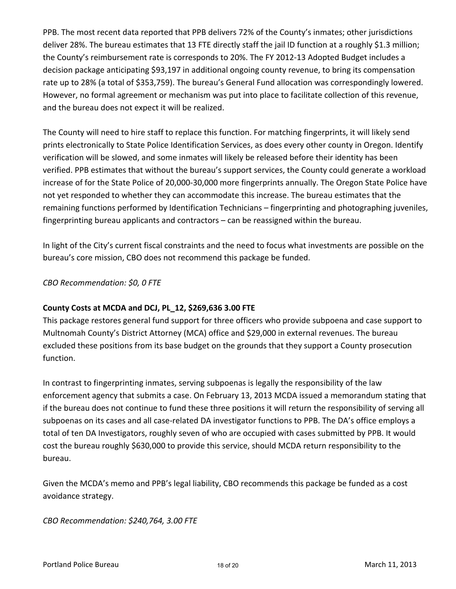PPB. The most recent data reported that PPB delivers 72% of the County's inmates; other jurisdictions deliver 28%. The bureau estimates that 13 FTE directly staff the jail ID function at a roughly \$1.3 million; the County's reimbursement rate is corresponds to 20%. The FY 2012‐13 Adopted Budget includes a decision package anticipating \$93,197 in additional ongoing county revenue, to bring its compensation rate up to 28% (a total of \$353,759). The bureau's General Fund allocation was correspondingly lowered. However, no formal agreement or mechanism was put into place to facilitate collection of this revenue, and the bureau does not expect it will be realized.

The County will need to hire staff to replace this function. For matching fingerprints, it will likely send prints electronically to State Police Identification Services, as does every other county in Oregon. Identify verification will be slowed, and some inmates will likely be released before their identity has been verified. PPB estimates that without the bureau's support services, the County could generate a workload increase of for the State Police of 20,000‐30,000 more fingerprints annually. The Oregon State Police have not yet responded to whether they can accommodate this increase. The bureau estimates that the remaining functions performed by Identification Technicians – fingerprinting and photographing juveniles, fingerprinting bureau applicants and contractors – can be reassigned within the bureau.

In light of the City's current fiscal constraints and the need to focus what investments are possible on the bureau's core mission, CBO does not recommend this package be funded.

#### *CBO Recommendation: \$0, 0 FTE*

#### **County Costs at MCDA and DCJ, PL\_12, \$269,636 3.00 FTE**

This package restores general fund support for three officers who provide subpoena and case support to Multnomah County's District Attorney (MCA) office and \$29,000 in external revenues. The bureau excluded these positions from its base budget on the grounds that they support a County prosecution function.

In contrast to fingerprinting inmates, serving subpoenas is legally the responsibility of the law enforcement agency that submits a case. On February 13, 2013 MCDA issued a memorandum stating that if the bureau does not continue to fund these three positions it will return the responsibility of serving all subpoenas on its cases and all case-related DA investigator functions to PPB. The DA's office employs a total of ten DA Investigators, roughly seven of who are occupied with cases submitted by PPB. It would cost the bureau roughly \$630,000 to provide this service, should MCDA return responsibility to the bureau.

Given the MCDA's memo and PPB's legal liability, CBO recommends this package be funded as a cost avoidance strategy.

*CBO Recommendation: \$240,764, 3.00 FTE*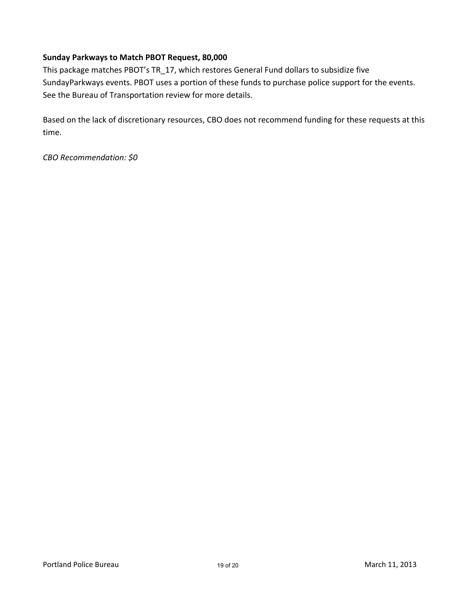## **Sunday Parkways to Match PBOT Request, 80,000**

This package matches PBOT's TR\_17, which restores General Fund dollars to subsidize five SundayParkways events. PBOT uses a portion of these funds to purchase police support for the events. See the Bureau of Transportation review for more details.

Based on the lack of discretionary resources, CBO does not recommend funding for these requests at this time.

*CBO Recommendation: \$0*